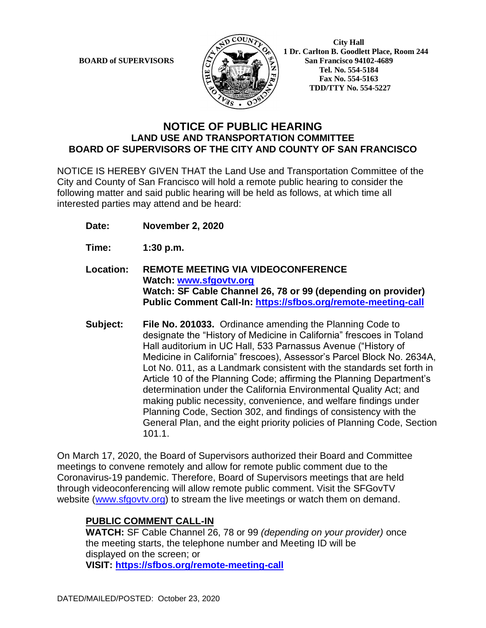

 **City Hall 1 Dr. Carlton B. Goodlett Place, Room 244 BOARD of SUPERVISORS**  $\left|\frac{S}{A}\right| \triangleq \left|\frac{S}{A}\right|$  San Francisco 94102-4689  **Tel. No. 554-5184 Fax No. 554-5163 TDD/TTY No. 554-5227**

## **NOTICE OF PUBLIC HEARING LAND USE AND TRANSPORTATION COMMITTEE BOARD OF SUPERVISORS OF THE CITY AND COUNTY OF SAN FRANCISCO**

NOTICE IS HEREBY GIVEN THAT the Land Use and Transportation Committee of the City and County of San Francisco will hold a remote public hearing to consider the following matter and said public hearing will be held as follows, at which time all interested parties may attend and be heard:

- **Date: November 2, 2020**
- **Time: 1:30 p.m.**
- **Location: REMOTE MEETING VIA VIDEOCONFERENCE Watch: [www.sfgovtv.org](http://www.sfgovtv.org/) Watch: SF Cable Channel 26, 78 or 99 (depending on provider) Public Comment Call-In:<https://sfbos.org/remote-meeting-call>**
- **Subject: File No. 201033.** Ordinance amending the Planning Code to designate the "History of Medicine in California" frescoes in Toland Hall auditorium in UC Hall, 533 Parnassus Avenue ("History of Medicine in California" frescoes), Assessor's Parcel Block No. 2634A, Lot No. 011, as a Landmark consistent with the standards set forth in Article 10 of the Planning Code; affirming the Planning Department's determination under the California Environmental Quality Act; and making public necessity, convenience, and welfare findings under Planning Code, Section 302, and findings of consistency with the General Plan, and the eight priority policies of Planning Code, Section 101.1.

On March 17, 2020, the Board of Supervisors authorized their Board and Committee meetings to convene remotely and allow for remote public comment due to the Coronavirus-19 pandemic. Therefore, Board of Supervisors meetings that are held through videoconferencing will allow remote public comment. Visit the SFGovTV website [\(www.sfgovtv.org\)](http://www.sfgovtv.org/) to stream the live meetings or watch them on demand.

## **PUBLIC COMMENT CALL-IN**

**WATCH:** SF Cable Channel 26, 78 or 99 *(depending on your provider)* once the meeting starts, the telephone number and Meeting ID will be displayed on the screen; or **VISIT: <https://sfbos.org/remote-meeting-call>**